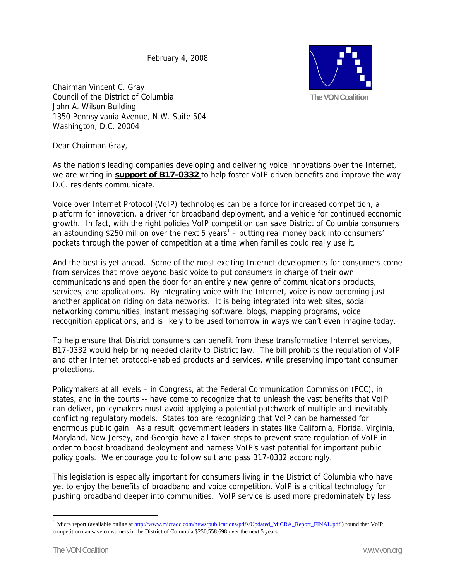February 4, 2008



Chairman Vincent C. Gray Council of the District of Columbia John A. Wilson Building 1350 Pennsylvania Avenue, N.W. Suite 504 Washington, D.C. 20004

Dear Chairman Gray,

As the nation's leading companies developing and delivering voice innovations over the Internet, we are writing in **support of B17-0332** to help foster VoIP driven benefits and improve the way D.C. residents communicate.

Voice over Internet Protocol (VoIP) technologies can be a force for increased competition, a platform for innovation, a driver for broadband deployment, and a vehicle for continued economic growth. In fact, with the right policies VoIP competition can save District of Columbia consumers an astounding \$250 million over the next 5 years<sup>1</sup> – putting real money back into consumers' pockets through the power of competition at a time when families could really use it.

And the best is yet ahead. Some of the most exciting Internet developments for consumers come from services that move beyond basic voice to put consumers in charge of their own communications and open the door for an entirely new genre of communications products, services, and applications. By integrating voice with the Internet, voice is now becoming just another application riding on data networks. It is being integrated into web sites, social networking communities, instant messaging software, blogs, mapping programs, voice recognition applications, and is likely to be used tomorrow in ways we can't even imagine today.

To help ensure that District consumers can benefit from these transformative Internet services, B17-0332 would help bring needed clarity to District law. The bill prohibits the regulation of VoIP and other Internet protocol-enabled products and services, while preserving important consumer protections.

Policymakers at all levels – in Congress, at the Federal Communication Commission (FCC), in states, and in the courts -- have come to recognize that to unleash the vast benefits that VoIP can deliver, policymakers must avoid applying a potential patchwork of multiple and inevitably conflicting regulatory models. States too are recognizing that VoIP can be harnessed for enormous public gain. As a result, government leaders in states like California, Florida, Virginia, Maryland, New Jersey, and Georgia have all taken steps to prevent state regulation of VoIP in order to boost broadband deployment and harness VoIP's vast potential for important public policy goals. We encourage you to follow suit and pass B17-0332 accordingly.

This legislation is especially important for consumers living in the District of Columbia who have yet to enjoy the benefits of broadband and voice competition. VoIP is a critical technology for pushing broadband deeper into communities. VoIP service is used more predominately by less

 $\overline{a}$ 

<sup>&</sup>lt;sup>1</sup> Micra report (available online at http://www.micradc.com/news/publications/pdfs/Updated\_MiCRA\_Report\_FINAL.pdf) found that VoIP competition can save consumers in the District of Columbia \$250,558,698 over the next 5 years.